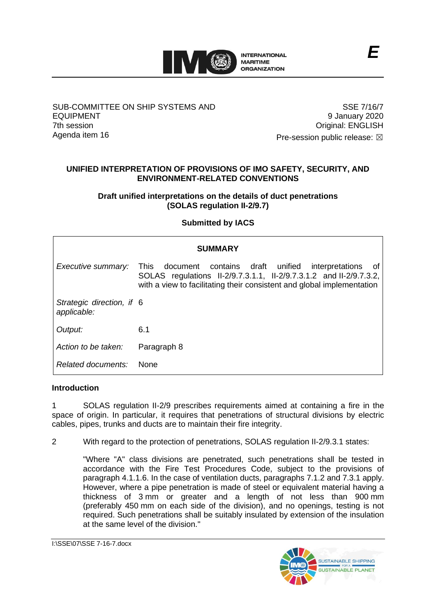

# SUB-COMMITTEE ON SHIP SYSTEMS AND EQUIPMENT 7th session Agenda item 16

SSE 7/16/7 9 January 2020 Original: ENGLISH

Pre-session public release:  $\boxtimes$ 

# **UNIFIED INTERPRETATION OF PROVISIONS OF IMO SAFETY, SECURITY, AND ENVIRONMENT-RELATED CONVENTIONS**

**Draft unified interpretations on the details of duct penetrations (SOLAS regulation II-2/9.7)**

# **Submitted by IACS**

| <b>SUMMARY</b>                           |                                                                                                                                                                                                                           |
|------------------------------------------|---------------------------------------------------------------------------------------------------------------------------------------------------------------------------------------------------------------------------|
| Executive summary:                       | document contains draft unified<br><b>This</b><br>interpretations<br>- of<br>SOLAS regulations II-2/9.7.3.1.1, II-2/9.7.3.1.2 and II-2/9.7.3.2,<br>with a view to facilitating their consistent and global implementation |
| Strategic direction, if 6<br>applicable: |                                                                                                                                                                                                                           |
| Output:                                  | 6.1                                                                                                                                                                                                                       |
| Action to be taken:                      | Paragraph 8                                                                                                                                                                                                               |
| Related documents:                       | <b>None</b>                                                                                                                                                                                                               |

# **Introduction**

1 SOLAS regulation II-2/9 prescribes requirements aimed at containing a fire in the space of origin. In particular, it requires that penetrations of structural divisions by electric cables, pipes, trunks and ducts are to maintain their fire integrity.

2 With regard to the protection of penetrations, SOLAS regulation II-2/9.3.1 states:

"Where "A" class divisions are penetrated, such penetrations shall be tested in accordance with the Fire Test Procedures Code, subject to the provisions of paragraph 4.1.1.6. In the case of ventilation ducts, paragraphs 7.1.2 and 7.3.1 apply. However, where a pipe penetration is made of steel or equivalent material having a thickness of 3 mm or greater and a length of not less than 900 mm (preferably 450 mm on each side of the division), and no openings, testing is not required. Such penetrations shall be suitably insulated by extension of the insulation at the same level of the division."

I:\SSE\07\SSE 7-16-7.docx

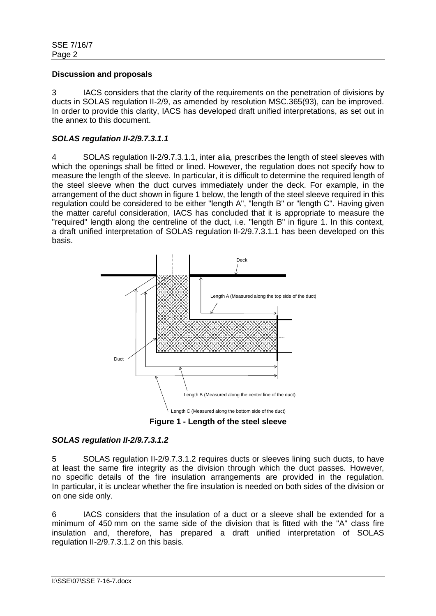## **Discussion and proposals**

3 IACS considers that the clarity of the requirements on the penetration of divisions by ducts in SOLAS regulation II-2/9, as amended by resolution MSC.365(93), can be improved. In order to provide this clarity, IACS has developed draft unified interpretations, as set out in the annex to this document.

# *SOLAS regulation II-2/9.7.3.1.1*

4 SOLAS regulation II-2/9.7.3.1.1, inter alia*,* prescribes the length of steel sleeves with which the openings shall be fitted or lined. However, the regulation does not specify how to measure the length of the sleeve. In particular, it is difficult to determine the required length of the steel sleeve when the duct curves immediately under the deck. For example, in the arrangement of the duct shown in figure 1 below, the length of the steel sleeve required in this regulation could be considered to be either "length A", "length B" or "length C". Having given the matter careful consideration, IACS has concluded that it is appropriate to measure the "required" length along the centreline of the duct, i.e. "length B" in figure 1. In this context, a draft unified interpretation of SOLAS regulation II-2/9.7.3.1.1 has been developed on this basis.



**Figure 1 - Length of the steel sleeve**

# *SOLAS regulation II-2/9.7.3.1.2*

5 SOLAS regulation II-2/9.7.3.1.2 requires ducts or sleeves lining such ducts, to have at least the same fire integrity as the division through which the duct passes. However, no specific details of the fire insulation arrangements are provided in the regulation. In particular, it is unclear whether the fire insulation is needed on both sides of the division or on one side only.

6 IACS considers that the insulation of a duct or a sleeve shall be extended for a minimum of 450 mm on the same side of the division that is fitted with the "A" class fire insulation and, therefore, has prepared a draft unified interpretation of SOLAS regulation II-2/9.7.3.1.2 on this basis.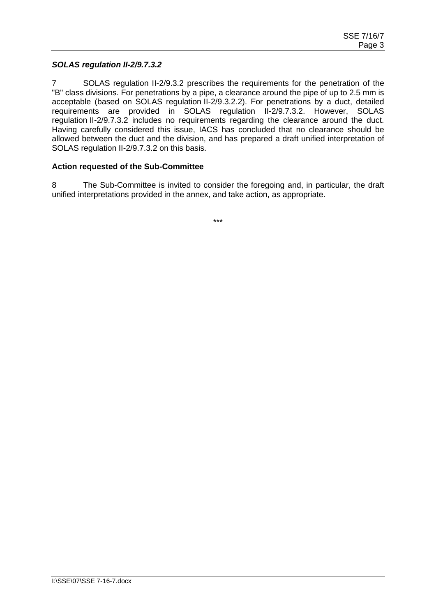## *SOLAS regulation II-2/9.7.3.2*

7 SOLAS regulation II-2/9.3.2 prescribes the requirements for the penetration of the "B" class divisions. For penetrations by a pipe, a clearance around the pipe of up to 2.5 mm is acceptable (based on SOLAS regulation II-2/9.3.2.2). For penetrations by a duct, detailed requirements are provided in SOLAS regulation II-2/9.7.3.2. However, SOLAS regulation II-2/9.7.3.2 includes no requirements regarding the clearance around the duct. Having carefully considered this issue, IACS has concluded that no clearance should be allowed between the duct and the division, and has prepared a draft unified interpretation of SOLAS regulation II-2/9.7.3.2 on this basis.

## **Action requested of the Sub-Committee**

8 The Sub-Committee is invited to consider the foregoing and, in particular, the draft unified interpretations provided in the annex, and take action, as appropriate.

\*\*\*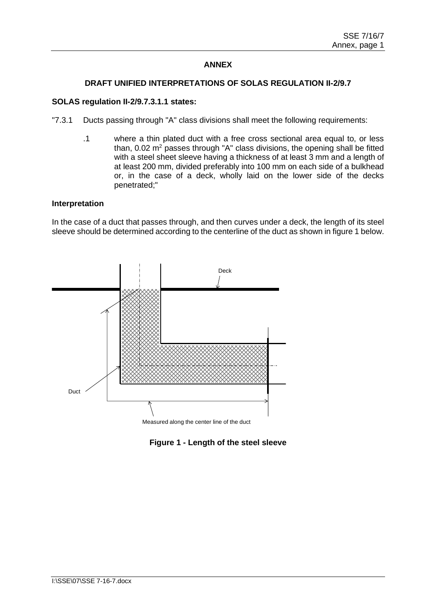# **ANNEX**

### **DRAFT UNIFIED INTERPRETATIONS OF SOLAS REGULATION II-2/9.7**

### **SOLAS regulation II-2/9.7.3.1.1 states:**

- "7.3.1 Ducts passing through "A" class divisions shall meet the following requirements:
	- .1 where a thin plated duct with a free cross sectional area equal to, or less than,  $0.02$  m<sup>2</sup> passes through "A" class divisions, the opening shall be fitted with a steel sheet sleeve having a thickness of at least 3 mm and a length of at least 200 mm, divided preferably into 100 mm on each side of a bulkhead or, in the case of a deck, wholly laid on the lower side of the decks penetrated;"

#### **Interpretation**

In the case of a duct that passes through, and then curves under a deck, the length of its steel sleeve should be determined according to the centerline of the duct as shown in figure 1 below.



# **Figure 1 - Length of the steel sleeve**